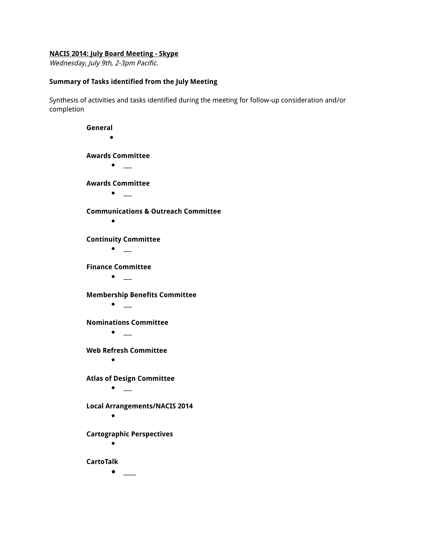## **NACIS 2014: July Board Meeting - Skype**

Wednesday, July 9th, 2-3pm Pacific.

## **Summary of Tasks identified from the July Meeting**

Synthesis of activities and tasks identified during the meeting for follow-up consideration and/or completion

> **General** ● **Awards Committee ●** \_\_\_ **Awards Committee ●** \_\_\_ **Communications & Outreach Committee ● Continuity Committee ●** \_\_\_ **Finance Committee ●** \_\_\_ **Membership Benefits Committee ●** \_\_\_ **Nominations Committee ●** \_\_\_ **Web Refresh Committee ● Atlas of Design Committee ●** \_\_\_ **Local Arrangements/NACIS 2014 ● Cartographic Perspectives ● CartoTalk ●** \_\_\_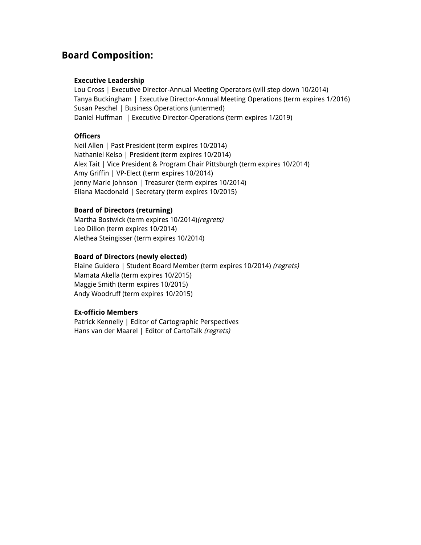## **Board Composition:**

#### **Executive Leadership**

Lou Cross | Executive Director-Annual Meeting Operators (will step down 10/2014) Tanya Buckingham | Executive Director-Annual Meeting Operations (term expires 1/2016) Susan Peschel | Business Operations (untermed) Daniel Huffman | Executive Director-Operations (term expires 1/2019)

## **Officers**

Neil Allen | Past President (term expires 10/2014) Nathaniel Kelso | President (term expires 10/2014) Alex Tait | Vice President & Program Chair Pittsburgh (term expires 10/2014) Amy Griffin | VP-Elect (term expires 10/2014) Jenny Marie Johnson | Treasurer (term expires 10/2014) Eliana Macdonald | Secretary (term expires 10/2015)

## **Board of Directors (returning)**

Martha Bostwick (term expires 10/2014)(regrets) Leo Dillon (term expires 10/2014) Alethea Steingisser (term expires 10/2014)

## **Board of Directors (newly elected)**

Elaine Guidero | Student Board Member (term expires 10/2014) (regrets) Mamata Akella (term expires 10/2015) Maggie Smith (term expires 10/2015) Andy Woodruff (term expires 10/2015)

## **Ex-officio Members**

Patrick Kennelly | Editor of Cartographic Perspectives Hans van der Maarel | Editor of CartoTalk (regrets)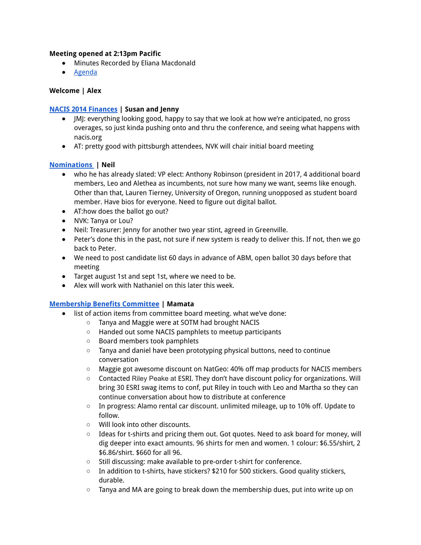## **Meeting opened at 2:13pm Pacific**

- Minutes Recorded by Eliana Macdonald
- Agenda

## **Welcome | Alex**

## **NACIS 2014 Finances | Susan and Jenny**

- JMJ: everything looking good, happy to say that we look at how we're anticipated, no gross overages, so just kinda pushing onto and thru the conference, and seeing what happens with nacis.org
- AT: pretty good with pittsburgh attendees, NVK will chair initial board meeting

## **Nominations | Neil**

- who he has already slated: VP elect: Anthony Robinson (president in 2017, 4 additional board members, Leo and Alethea as incumbents, not sure how many we want, seems like enough. Other than that, Lauren Tierney, University of Oregon, running unopposed as student board member. Have bios for everyone. Need to figure out digital ballot.
- AT:how does the ballot go out?
- NVK: Tanya or Lou?
- Neil: Treasurer: Jenny for another two year stint, agreed in Greenville.
- Peter's done this in the past, not sure if new system is ready to deliver this. If not, then we go back to Peter.
- We need to post candidate list 60 days in advance of ABM, open ballot 30 days before that meeting
- Target august 1st and sept 1st, where we need to be.
- Alex will work with Nathaniel on this later this week.

## **Membership Benefits Committee | Mamata**

- list of action items from committee board meeting. what we've done:
	- Tanya and Maggie were at SOTM had brought NACIS
	- Handed out some NACIS pamphlets to meetup participants
	- Board members took pamphlets
	- Tanya and daniel have been prototyping physical buttons, need to continue conversation
	- Maggie got awesome discount on NatGeo: 40% off map products for NACIS members
	- Contacted Riley Peake at ESRI. They don't have discount policy for organizations. Will bring 30 ESRI swag items to conf, put Riley in touch with Leo and Martha so they can continue conversation about how to distribute at conference
	- In progress: Alamo rental car discount. unlimited mileage, up to 10% off. Update to follow.
	- Will look into other discounts.
	- Ideas for t-shirts and pricing them out. Got quotes. Need to ask board for money, will dig deeper into exact amounts. 96 shirts for men and women. 1 colour: \$6.55/shirt, 2 \$6.86/shirt. \$660 for all 96.
	- Still discussing: make available to pre-order t-shirt for conference.
	- $\circ$  In addition to t-shirts, have stickers? \$210 for 500 stickers. Good quality stickers, durable.
	- $\circ$  Tanya and MA are going to break down the membership dues, put into write up on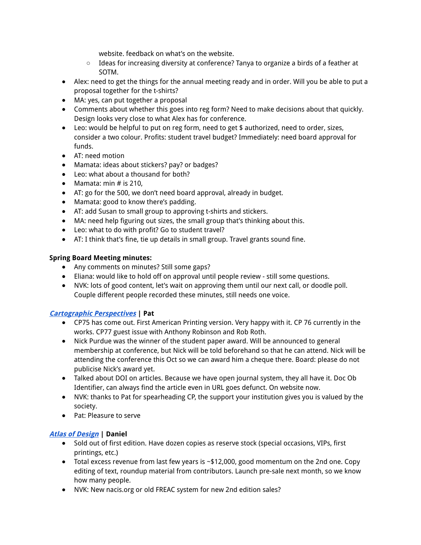website. feedback on what's on the website.

- Ideas for increasing diversity at conference? Tanya to organize a birds of a feather at SOTM.
- Alex: need to get the things for the annual meeting ready and in order. Will you be able to put a proposal together for the t-shirts?
- MA: yes, can put together a proposal
- Comments about whether this goes into reg form? Need to make decisions about that quickly. Design looks very close to what Alex has for conference.
- Leo: would be helpful to put on reg form, need to get \$ authorized, need to order, sizes, consider a two colour. Profits: student travel budget? Immediately: need board approval for funds.
- AT: need motion
- Mamata: ideas about stickers? pay? or badges?
- Leo: what about a thousand for both?
- $\bullet$  Mamata: min # is 210.
- AT: go for the 500, we don't need board approval, already in budget.
- Mamata: good to know there's padding.
- AT: add Susan to small group to approving t-shirts and stickers.
- MA: need help figuring out sizes, the small group that's thinking about this.
- Leo: what to do with profit? Go to student travel?
- AT: I think that's fine, tie up details in small group. Travel grants sound fine.

## **Spring Board Meeting minutes:**

- Any comments on minutes? Still some gaps?
- Eliana: would like to hold off on approval until people review still some questions.
- NVK: lots of good content, let's wait on approving them until our next call, or doodle poll. Couple different people recorded these minutes, still needs one voice.

## **Cartographic Perspectives | Pat**

- CP75 has come out. First American Printing version. Very happy with it. CP 76 currently in the works. CP77 guest issue with Anthony Robinson and Rob Roth.
- Nick Purdue was the winner of the student paper award. Will be announced to general membership at conference, but Nick will be told beforehand so that he can attend. Nick will be attending the conference this Oct so we can award him a cheque there. Board: please do not publicise Nick's award yet.
- Talked about DOI on articles. Because we have open journal system, they all have it. Doc Ob Identifier, can always find the article even in URL goes defunct. On website now.
- NVK: thanks to Pat for spearheading CP, the support your institution gives you is valued by the society.
- Pat: Pleasure to serve

## **Atlas of Design | Daniel**

- Sold out of first edition. Have dozen copies as reserve stock (special occasions, VIPs, first printings, etc.)
- Total excess revenue from last few years is ~\$12,000, good momentum on the 2nd one. Copy editing of text, roundup material from contributors. Launch pre-sale next month, so we know how many people.
- NVK: New nacis.org or old FREAC system for new 2nd edition sales?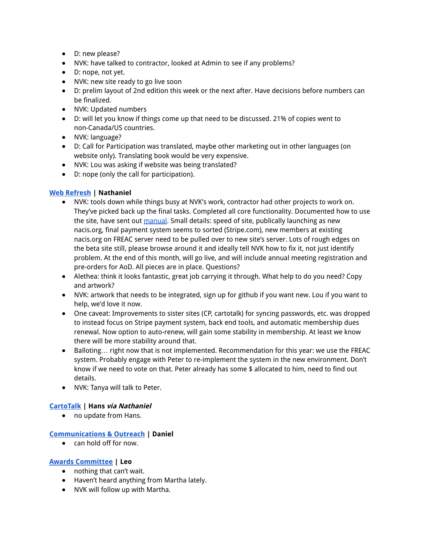- D: new please?
- NVK: have talked to contractor, looked at Admin to see if any problems?
- D: nope, not yet.
- NVK: new site ready to go live soon
- D: prelim layout of 2nd edition this week or the next after. Have decisions before numbers can be finalized.
- NVK: Updated numbers
- D: will let you know if things come up that need to be discussed. 21% of copies went to non-Canada/US countries.
- NVK: language?
- D: Call for Participation was translated, maybe other marketing out in other languages (on website only). Translating book would be very expensive.
- NVK: Lou was asking if website was being translated?
- D: nope (only the call for participation).

## **Web Refresh | Nathaniel**

- NVK: tools down while things busy at NVK's work, contractor had other projects to work on. They've picked back up the final tasks. Completed all core functionality. Documented how to use the site, have sent out manual. Small details: speed of site, publically launching as new nacis.org, final payment system seems to sorted (Stripe.com), new members at existing nacis.org on FREAC server need to be pulled over to new site's server. Lots of rough edges on the beta site still, please browse around it and ideally tell NVK how to fix it, not just identify problem. At the end of this month, will go live, and will include annual meeting registration and pre-orders for AoD. All pieces are in place. Questions?
- Alethea: think it looks fantastic, great job carrying it through. What help to do you need? Copy and artwork?
- NVK: artwork that needs to be integrated, sign up for github if you want new. Lou if you want to help, we'd love it now.
- One caveat: Improvements to sister sites (CP, cartotalk) for syncing passwords, etc. was dropped to instead focus on Stripe payment system, back end tools, and automatic membership dues renewal. Now option to auto-renew, will gain some stability in membership. At least we know there will be more stability around that.
- Balloting... right now that is not implemented. Recommendation for this year: we use the FREAC system. Probably engage with Peter to re-implement the system in the new environment. Don't know if we need to vote on that. Peter already has some \$ allocated to him, need to find out details.
- NVK: Tanya will talk to Peter.

## **CartoTalk | Hans via Nathaniel**

● no update from Hans.

## **Communications & Outreach | Daniel**

● can hold off for now.

## **Awards Committee | Leo**

- nothing that can't wait.
- Haven't heard anything from Martha lately.
- NVK will follow up with Martha.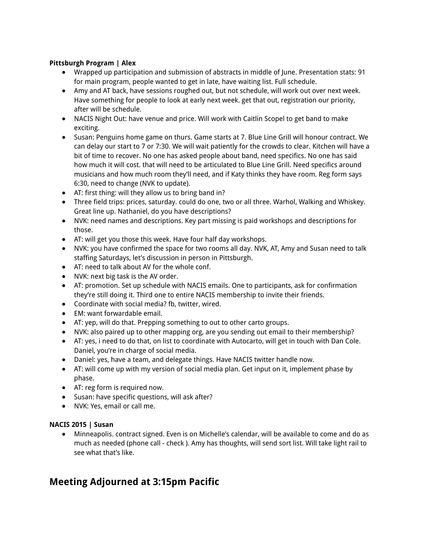## **Pittsburgh Program | Alex**

- Wrapped up participation and submission of abstracts in middle of June. Presentation stats: 91 for main program, people wanted to get in late, have waiting list. Full schedule.
- Amy and AT back, have sessions roughed out, but not schedule, will work out over next week. Have something for people to look at early next week. get that out, registration our priority, after will be schedule.
- NACIS Night Out: have venue and price. Will work with Caitlin Scopel to get band to make exciting.
- Susan: Penguins home game on thurs. Game starts at 7. Blue Line Grill will honour contract. We can delay our start to 7 or 7:30. We will wait patiently for the crowds to clear. Kitchen will have a bit of time to recover. No one has asked people about band, need specifics. No one has said how much it will cost. that will need to be articulated to Blue Line Grill. Need specifics around musicians and how much room they'll need, and if Katy thinks they have room. Reg form says 6:30, need to change (NVK to update).
- AT: first thing: will they allow us to bring band in?
- Three field trips: prices, saturday. could do one, two or all three. Warhol, Walking and Whiskey. Great line up. Nathaniel, do you have descriptions?
- NVK: need names and descriptions. Key part missing is paid workshops and descriptions for those.
- AT: will get you those this week. Have four half day workshops.
- NVK: you have confirmed the space for two rooms all day. NVK, AT, Amy and Susan need to talk staffing Saturdays, let's discussion in person in Pittsburgh.
- AT: need to talk about AV for the whole conf.
- NVK: next big task is the AV order.
- AT: promotion. Set up schedule with NACIS emails. One to participants, ask for confirmation they're still doing it. Third one to entire NACIS membership to invite their friends.
- Coordinate with social media? fb, twitter, wired.
- EM: want forwardable email.
- AT: yep, will do that. Prepping something to out to other carto groups.
- NVK: also paired up to other mapping org, are you sending out email to their membership?
- AT: yes, i need to do that, on list to coordinate with Autocarto, will get in touch with Dan Cole. Daniel, you're in charge of social media.
- Daniel: yes, have a team, and delegate things. Have NACIS twitter handle now.
- AT: will come up with my version of social media plan. Get input on it, implement phase by phase.
- AT: reg form is required now.
- Susan: have specific questions, will ask after?
- NVK: Yes, email or call me.

## **NACIS 2015 | Susan**

● Minneapolis. contract signed. Even is on Michelle's calendar, will be available to come and do as much as needed (phone call - check ). Amy has thoughts, will send sort list. Will take light rail to see what that's like.

# **Meeting Adjourned at 3:15pm Pacific**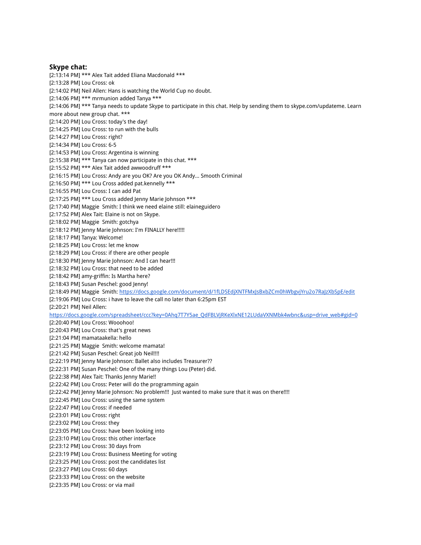#### **Skype chat:**

[2:13:14 PM] \*\*\* Alex Tait added Eliana Macdonald \*\*\* [2:13:28 PM] Lou Cross: ok [2:14:02 PM] Neil Allen: Hans is watching the World Cup no doubt. [2:14:06 PM] \*\*\* mrmunion added Tanya \*\*\* [2:14:06 PM] \*\*\* Tanya needs to update Skype to participate in this chat. Help by sending them to skype.com/updateme. Learn more about new group chat. \*\*\* [2:14:20 PM] Lou Cross: today's the day! [2:14:25 PM] Lou Cross: to run with the bulls [2:14:27 PM] Lou Cross: right? [2:14:34 PM] Lou Cross: 6-5 [2:14:53 PM] Lou Cross: Argentina is winning [2:15:38 PM] \*\*\* Tanya can now participate in this chat. \*\*\* [2:15:52 PM] \*\*\* Alex Tait added awwoodruff \*\*\* [2:16:15 PM] Lou Cross: Andy are you OK? Are you OK Andy... Smooth Criminal [2:16:50 PM] \*\*\* Lou Cross added pat.kennelly \*\*\* [2:16:55 PM] Lou Cross: I can add Pat [2:17:25 PM] \*\*\* Lou Cross added Jenny Marie Johnson \*\*\* [2:17:40 PM] Maggie Smith: I think we need elaine still: elaineguidero [2:17:52 PM] Alex Tait: Elaine is not on Skype. [2:18:02 PM] Maggie Smith: gotchya [2:18:12 PM] Jenny Marie Johnson: I'm FINALLY here!!!!! [2:18:17 PM] Tanya: Welcome! [2:18:25 PM] Lou Cross: let me know [2:18:29 PM] Lou Cross: if there are other people [2:18:30 PM] Jenny Marie Johnson: And I can hear!!! [2:18:32 PM] Lou Cross: that need to be added [2:18:42 PM] amy-griffin: Is Martha here? [2:18:43 PM] Susan Peschel: good Jenny! [2:18:49 PM] Maggie Smith: https://docs.google.com/document/d/1fLDSEdjXNTFMxJsBxbZCm0hWbgvjYru2o7RaJzXbSpE/edit [2:19:06 PM] Lou Cross: i have to leave the call no later than 6:25pm EST [2:20:21 PM] Neil Allen: https://docs.google.com/spreadsheet/ccc?key=0Ahq7T7Y5ae\_QdFBLVjRKeXlxNE12LUdaVXNMbk4wbnc&usp=drive\_web#gid=0 [2:20:40 PM] Lou Cross: Wooohoo! [2:20:43 PM] Lou Cross: that's great news [2:21:04 PM] mamataakella: hello [2:21:25 PM] Maggie Smith: welcome mamata! [2:21:42 PM] Susan Peschel: Great job Neil!!!! [2:22:19 PM] Jenny Marie Johnson: Ballet also includes Treasurer?? [2:22:31 PM] Susan Peschel: One of the many things Lou (Peter) did. [2:22:38 PM] Alex Tait: Thanks Jenny Marie!! [2:22:42 PM] Lou Cross: Peter will do the programming again [2:22:42 PM] Jenny Marie Johnson: No problem!!! Just wanted to make sure that it was on there!!!! [2:22:45 PM] Lou Cross: using the same system [2:22:47 PM] Lou Cross: if needed [2:23:01 PM] Lou Cross: right [2:23:02 PM] Lou Cross: they [2:23:05 PM] Lou Cross: have been looking into [2:23:10 PM] Lou Cross: this other interface [2:23:12 PM] Lou Cross: 30 days from [2:23:19 PM] Lou Cross: Business Meeting for voting [2:23:25 PM] Lou Cross: post the candidates list [2:23:27 PM] Lou Cross: 60 days [2:23:33 PM] Lou Cross: on the website [2:23:35 PM] Lou Cross: or via mail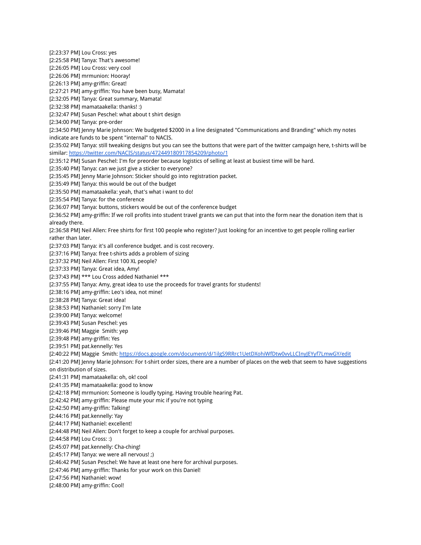[2:23:37 PM] Lou Cross: yes [2:25:58 PM] Tanya: That's awesome! [2:26:05 PM] Lou Cross: very cool [2:26:06 PM] mrmunion: Hooray! [2:26:13 PM] amy-griffin: Great! [2:27:21 PM] amy-griffin: You have been busy, Mamata! [2:32:05 PM] Tanya: Great summary, Mamata! [2:32:38 PM] mamataakella: thanks! :) [2:32:47 PM] Susan Peschel: what about t shirt design [2:34:00 PM] Tanya: pre-order [2:34:50 PM] Jenny Marie Johnson: We budgeted \$2000 in a line designated "Communications and Branding" which my notes indicate are funds to be spent "internal" to NACIS. [2:35:02 PM] Tanya: still tweaking designs but you can see the buttons that were part of the twitter campaign here, t-shirts will be similar: https://twitter.com/NACIS/status/472449180917854209/photo/1 [2:35:12 PM] Susan Peschel: I'm for preorder because logistics of selling at least at busiest time will be hard. [2:35:40 PM] Tanya: can we just give a sticker to everyone? [2:35:45 PM] Jenny Marie Johnson: Sticker should go into registration packet. [2:35:49 PM] Tanya: this would be out of the budget [2:35:50 PM] mamataakella: yeah, that's what i want to do! [2:35:54 PM] Tanya: for the conference [2:36:07 PM] Tanya: buttons, stickers would be out of the conference budget [2:36:52 PM] amy-griffin: If we roll profits into student travel grants we can put that into the form near the donation item that is already there. [2:36:58 PM] Neil Allen: Free shirts for first 100 people who register? Just looking for an incentive to get people rolling earlier rather than later. [2:37:03 PM] Tanya: it's all conference budget. and is cost recovery. [2:37:16 PM] Tanya: free t-shirts adds a problem of sizing [2:37:32 PM] Neil Allen: First 100 XL people? [2:37:33 PM] Tanya: Great idea, Amy! [2:37:43 PM] \*\*\* Lou Cross added Nathaniel \*\*\* [2:37:55 PM] Tanya: Amy, great idea to use the proceeds for travel grants for students! [2:38:16 PM] amy-griffin: Leo's idea, not mine! [2:38:28 PM] Tanya: Great idea! [2:38:53 PM] Nathaniel: sorry I'm late [2:39:00 PM] Tanya: welcome! [2:39:43 PM] Susan Peschel: yes [2:39:46 PM] Maggie Smith: yep [2:39:48 PM] amy-griffin: Yes [2:39:51 PM] pat.kennelly: Yes [2:40:22 PM] Maggie Smith: https://docs.google.com/document/d/1ilgS9RRrc1UetDXohiWfDtw0vvLLCInyJEYyf7LmwGY/edit [2:41:20 PM] Jenny Marie Johnson: For t-shirt order sizes, there are a number of places on the web that seem to have suggestions on distribution of sizes. [2:41:31 PM] mamataakella: oh, ok! cool [2:41:35 PM] mamataakella: good to know [2:42:18 PM] mrmunion: Someone is loudly typing. Having trouble hearing Pat. [2:42:42 PM] amy-griffin: Please mute your mic if you're not typing [2:42:50 PM] amy-griffin: Talking! [2:44:16 PM] pat.kennelly: Yay [2:44:17 PM] Nathaniel: excellent! [2:44:48 PM] Neil Allen: Don't forget to keep a couple for archival purposes. [2:44:58 PM] Lou Cross: :) [2:45:07 PM] pat.kennelly: Cha-ching! [2:45:17 PM] Tanya: we were all nervous! ;) [2:46:42 PM] Susan Peschel: We have at least one here for archival purposes. [2:47:46 PM] amy-griffin: Thanks for your work on this Daniel! [2:47:56 PM] Nathaniel: wow! [2:48:00 PM] amy-griffin: Cool!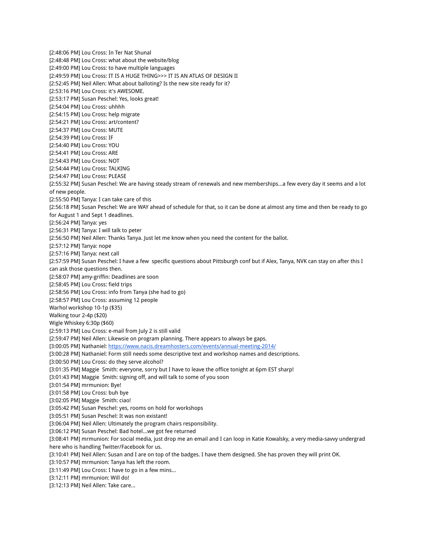[2:48:06 PM] Lou Cross: In Ter Nat Shunal [2:48:48 PM] Lou Cross: what about the website/blog [2:49:00 PM] Lou Cross: to have multiple languages [2:49:59 PM] Lou Cross: IT IS A HUGE THING>>> IT IS AN ATLAS OF DESIGN II [2:52:45 PM] Neil Allen: What about balloting? Is the new site ready for it? [2:53:16 PM] Lou Cross: it's AWESOME. [2:53:17 PM] Susan Peschel: Yes, looks great! [2:54:04 PM] Lou Cross: uhhhh [2:54:15 PM] Lou Cross: help migrate [2:54:21 PM] Lou Cross: art/content? [2:54:37 PM] Lou Cross: MUTE [2:54:39 PM] Lou Cross: IF [2:54:40 PM] Lou Cross: YOU [2:54:41 PM] Lou Cross: ARE [2:54:43 PM] Lou Cross: NOT [2:54:44 PM] Lou Cross: TALKING [2:54:47 PM] Lou Cross: PLEASE [2:55:32 PM] Susan Peschel: We are having steady stream of renewals and new memberships...a few every day it seems and a lot of new people. [2:55:50 PM] Tanya: I can take care of this [2:56:18 PM] Susan Peschel: We are WAY ahead of schedule for that, so it can be done at almost any time and then be ready to go for August 1 and Sept 1 deadlines. [2:56:24 PM] Tanya: yes [2:56:31 PM] Tanya: I will talk to peter [2:56:50 PM] Neil Allen: Thanks Tanya. Just let me know when you need the content for the ballot. [2:57:12 PM] Tanya: nope [2:57:16 PM] Tanya: next call [2:57:59 PM] Susan Peschel: I have a few specific questions about Pittsburgh conf but if Alex, Tanya, NVK can stay on after this I can ask those questions then. [2:58:07 PM] amy-griffin: Deadlines are soon [2:58:45 PM] Lou Cross: field trips [2:58:56 PM] Lou Cross: info from Tanya (she had to go) [2:58:57 PM] Lou Cross: assuming 12 people Warhol workshop 10-1p (\$35) Walking tour 2-4p (\$20) Wigle Whiskey 6:30p (\$60) [2:59:13 PM] Lou Cross: e-mail from July 2 is still valid [2:59:47 PM] Neil Allen: Likewsie on program planning. There appears to always be gaps. [3:00:05 PM] Nathaniel: https://www.nacis.dreamhosters.com/events/annual-meeting-2014/ [3:00:28 PM] Nathaniel: Form still needs some descriptive text and workshop names and descriptions. [3:00:50 PM] Lou Cross: do they serve alcohol? [3:01:35 PM] Maggie Smith: everyone, sorry but I have to leave the office tonight at 6pm EST sharp! [3:01:43 PM] Maggie Smith: signing off, and will talk to some of you soon [3:01:54 PM] mrmunion: Bye! [3:01:58 PM] Lou Cross: buh bye [3:02:05 PM] Maggie Smith: ciao! [3:05:42 PM] Susan Peschel: yes, rooms on hold for workshops [3:05:51 PM] Susan Peschel: It was non existant! [3:06:04 PM] Neil Allen: Ultimately the program chairs responsibility. [3:06:12 PM] Susan Peschel: Bad hotel...we got fee returned [3:08:41 PM] mrmunion: For social media, just drop me an email and I can loop in Katie Kowalsky, a very media-savvy undergrad here who is handling Twitter/Facebook for us. [3:10:41 PM] Neil Allen: Susan and I are on top of the badges. I have them designed. She has proven they will print OK. [3:10:57 PM] mrmunion: Tanya has left the room. [3:11:49 PM] Lou Cross: I have to go in a few mins... [3:12:11 PM] mrmunion: Will do! [3:12:13 PM] Neil Allen: Take care...